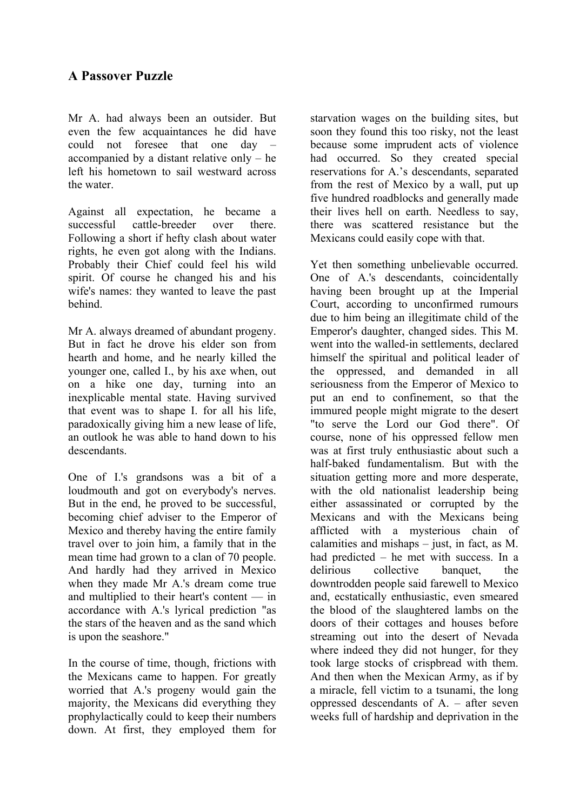Mr A. had always been an outsider. But even the few acquaintances he did have could not foresee that one day – accompanied by a distant relative only – he left his hometown to sail westward across the water.

Against all expectation, he became a successful cattle-breeder over there. Following a short if hefty clash about water rights, he even got along with the Indians. Probably their Chief could feel his wild spirit. Of course he changed his and his wife's names: they wanted to leave the past behind.

Mr A. always dreamed of abundant progeny. But in fact he drove his elder son from hearth and home, and he nearly killed the younger one, called I., by his axe when, out on a hike one day, turning into an inexplicable mental state. Having survived that event was to shape I. for all his life, paradoxically giving him a new lease of life, an outlook he was able to hand down to his descendants.

One of I.'s grandsons was a bit of a loudmouth and got on everybody's nerves. But in the end, he proved to be successful, becoming chief adviser to the Emperor of Mexico and thereby having the entire family travel over to join him, a family that in the mean time had grown to a clan of 70 people. And hardly had they arrived in Mexico when they made Mr A.'s dream come true and multiplied to their heart's content — in accordance with A.'s lyrical prediction "as the stars of the heaven and as the sand which is upon the seashore."

In the course of time, though, frictions with the Mexicans came to happen. For greatly worried that A.'s progeny would gain the majority, the Mexicans did everything they prophylactically could to keep their numbers down. At first, they employed them for starvation wages on the building sites, but soon they found this too risky, not the least because some imprudent acts of violence had occurred. So they created special reservations for A.'s descendants, separated from the rest of Mexico by a wall, put up five hundred roadblocks and generally made their lives hell on earth. Needless to say, there was scattered resistance but the Mexicans could easily cope with that.

Yet then something unbelievable occurred. One of A.'s descendants, coincidentally having been brought up at the Imperial Court, according to unconfirmed rumours due to him being an illegitimate child of the Emperor's daughter, changed sides. This M. went into the walled-in settlements, declared himself the spiritual and political leader of the oppressed, and demanded in all seriousness from the Emperor of Mexico to put an end to confinement, so that the immured people might migrate to the desert "to serve the Lord our God there". Of course, none of his oppressed fellow men was at first truly enthusiastic about such a half-baked fundamentalism. But with the situation getting more and more desperate, with the old nationalist leadership being either assassinated or corrupted by the Mexicans and with the Mexicans being afflicted with a mysterious chain of calamities and mishaps – just, in fact, as M. had predicted – he met with success. In a delirious collective banquet, the downtrodden people said farewell to Mexico and, ecstatically enthusiastic, even smeared the blood of the slaughtered lambs on the doors of their cottages and houses before streaming out into the desert of Nevada where indeed they did not hunger, for they took large stocks of crispbread with them. And then when the Mexican Army, as if by a miracle, fell victim to a tsunami, the long oppressed descendants of  $A<sub>l</sub>$  – after seven weeks full of hardship and deprivation in the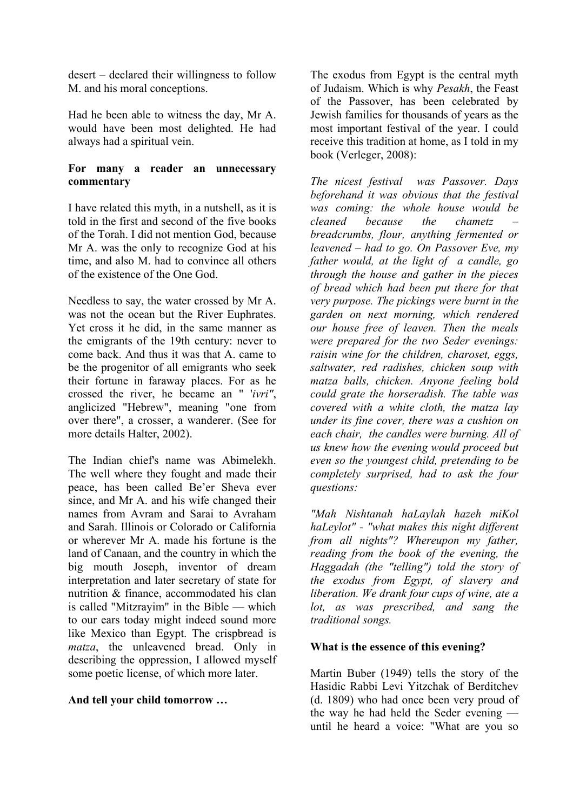desert – declared their willingness to follow M. and his moral conceptions.

Had he been able to witness the day, Mr A. would have been most delighted. He had always had a spiritual vein.

### **For many a reader an unnecessary commentary**

I have related this myth, in a nutshell, as it is told in the first and second of the five books of the Torah. I did not mention God, because Mr A. was the only to recognize God at his time, and also M. had to convince all others of the existence of the One God.

Needless to say, the water crossed by Mr A. was not the ocean but the River Euphrates. Yet cross it he did, in the same manner as the emigrants of the 19th century: never to come back. And thus it was that A. came to be the progenitor of all emigrants who seek their fortune in faraway places. For as he crossed the river, he became an " '*ivri"*, anglicized "Hebrew", meaning "one from over there", a crosser, a wanderer. (See for more details Halter, 2002).

The Indian chief's name was Abimelekh. The well where they fought and made their peace, has been called Be'er Sheva ever since, and Mr A. and his wife changed their names from Avram and Sarai to Avraham and Sarah. Illinois or Colorado or California or wherever Mr A. made his fortune is the land of Canaan, and the country in which the big mouth Joseph, inventor of dream interpretation and later secretary of state for nutrition & finance, accommodated his clan is called "Mitzrayim" in the Bible — which to our ears today might indeed sound more like Mexico than Egypt. The crispbread is *matza*, the unleavened bread. Only in describing the oppression, I allowed myself some poetic license, of which more later.

# **And tell your child tomorrow …**

The exodus from Egypt is the central myth of Judaism. Which is why *Pesakh*, the Feast of the Passover, has been celebrated by Jewish families for thousands of years as the most important festival of the year. I could receive this tradition at home, as I told in my book (Verleger, 2008):

*The nicest festival was Passover. Days beforehand it was obvious that the festival was coming: the whole house would be cleaned because the chametz – breadcrumbs, flour, anything fermented or leavened – had to go. On Passover Eve, my father would, at the light of a candle, go through the house and gather in the pieces of bread which had been put there for that very purpose. The pickings were burnt in the garden on next morning, which rendered our house free of leaven. Then the meals were prepared for the two Seder evenings: raisin wine for the children, charoset, eggs, saltwater, red radishes, chicken soup with matza balls, chicken. Anyone feeling bold could grate the horseradish. The table was covered with a white cloth, the matza lay under its fine cover, there was a cushion on each chair, the candles were burning. All of us knew how the evening would proceed but even so the youngest child, pretending to be completely surprised, had to ask the four questions:*

*"Mah Nishtanah haLaylah hazeh miKol haLeylot" - "what makes this night different from all nights"? Whereupon my father, reading from the book of the evening, the Haggadah (the "telling") told the story of the exodus from Egypt, of slavery and liberation. We drank four cups of wine, ate a lot, as was prescribed, and sang the traditional songs.*

# **What is the essence of this evening?**

Martin Buber (1949) tells the story of the Hasidic Rabbi Levi Yitzchak of Berditchev (d. 1809) who had once been very proud of the way he had held the Seder evening until he heard a voice: "What are you so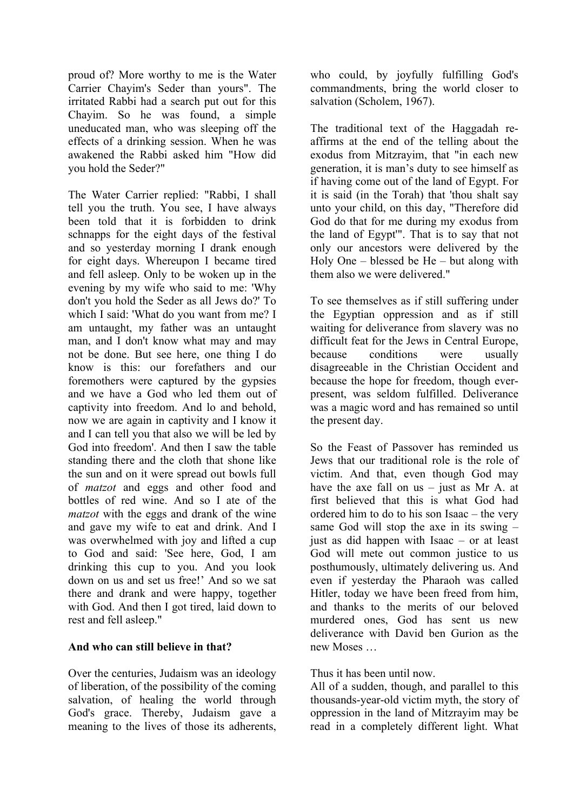proud of? More worthy to me is the Water Carrier Chayim's Seder than yours". The irritated Rabbi had a search put out for this Chayim. So he was found, a simple uneducated man, who was sleeping off the effects of a drinking session. When he was awakened the Rabbi asked him "How did you hold the Seder?"

The Water Carrier replied: "Rabbi, I shall tell you the truth. You see, I have always been told that it is forbidden to drink schnapps for the eight days of the festival and so yesterday morning I drank enough for eight days. Whereupon I became tired and fell asleep. Only to be woken up in the evening by my wife who said to me: 'Why don't you hold the Seder as all Jews do?' To which I said: 'What do you want from me? I am untaught, my father was an untaught man, and I don't know what may and may not be done. But see here, one thing I do know is this: our forefathers and our foremothers were captured by the gypsies and we have a God who led them out of captivity into freedom. And lo and behold, now we are again in captivity and I know it and I can tell you that also we will be led by God into freedom'. And then I saw the table standing there and the cloth that shone like the sun and on it were spread out bowls full of *matzot* and eggs and other food and bottles of red wine. And so I ate of the *matzot* with the eggs and drank of the wine and gave my wife to eat and drink. And I was overwhelmed with joy and lifted a cup to God and said: 'See here, God, I am drinking this cup to you. And you look down on us and set us free!' And so we sat there and drank and were happy, together with God. And then I got tired, laid down to rest and fell asleep."

# **And who can still believe in that?**

Over the centuries, Judaism was an ideology of liberation, of the possibility of the coming salvation, of healing the world through God's grace. Thereby, Judaism gave a meaning to the lives of those its adherents,

who could, by joyfully fulfilling God's commandments, bring the world closer to salvation (Scholem, 1967).

The traditional text of the Haggadah reaffirms at the end of the telling about the exodus from Mitzrayim, that "in each new generation, it is man's duty to see himself as if having come out of the land of Egypt. For it is said (in the Torah) that 'thou shalt say unto your child, on this day, "Therefore did God do that for me during my exodus from the land of Egypt'". That is to say that not only our ancestors were delivered by the Holy One – blessed be He – but along with them also we were delivered."

To see themselves as if still suffering under the Egyptian oppression and as if still waiting for deliverance from slavery was no difficult feat for the Jews in Central Europe, because conditions were usually disagreeable in the Christian Occident and because the hope for freedom, though everpresent, was seldom fulfilled. Deliverance was a magic word and has remained so until the present day.

So the Feast of Passover has reminded us Jews that our traditional role is the role of victim. And that, even though God may have the axe fall on us  $-$  just as Mr A. at first believed that this is what God had ordered him to do to his son Isaac – the very same God will stop the axe in its swing – just as did happen with Isaac – or at least God will mete out common justice to us posthumously, ultimately delivering us. And even if yesterday the Pharaoh was called Hitler, today we have been freed from him, and thanks to the merits of our beloved murdered ones, God has sent us new deliverance with David ben Gurion as the new Moses

# Thus it has been until now.

All of a sudden, though, and parallel to this thousands-year-old victim myth, the story of oppression in the land of Mitzrayim may be read in a completely different light. What